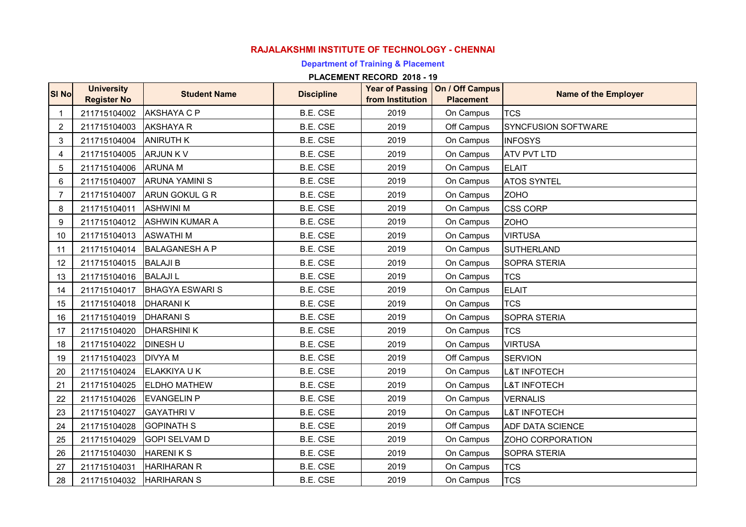# **RAJALAKSHMI INSTITUTE OF TECHNOLOGY - CHENNAI**

# **Department of Training & Placement**

| SI No          | <b>University</b><br><b>Register No</b> | <b>Student Name</b>    | <b>Discipline</b> | <b>Year of Passing</b><br>from Institution | On / Off Campus<br><b>Placement</b> | <b>Name of the Employer</b> |
|----------------|-----------------------------------------|------------------------|-------------------|--------------------------------------------|-------------------------------------|-----------------------------|
| $\mathbf{1}$   | 211715104002                            | <b>AKSHAYA C P</b>     | B.E. CSE          | 2019                                       | On Campus                           | <b>TCS</b>                  |
| 2              | 211715104003                            | <b>AKSHAYA R</b>       | B.E. CSE          | 2019                                       | Off Campus                          | <b>SYNCFUSION SOFTWARE</b>  |
| 3              | 211715104004                            | <b>ANIRUTH K</b>       | <b>B.E. CSE</b>   | 2019                                       | On Campus                           | <b>INFOSYS</b>              |
| 4              | 211715104005                            | <b>ARJUNKV</b>         | <b>B.E. CSE</b>   | 2019                                       | On Campus                           | <b>ATV PVT LTD</b>          |
| 5              | 211715104006                            | <b>ARUNA M</b>         | B.E. CSE          | 2019                                       | On Campus                           | <b>ELAIT</b>                |
| 6              | 211715104007                            | <b>ARUNA YAMINI S</b>  | B.E. CSE          | 2019                                       | On Campus                           | <b>ATOS SYNTEL</b>          |
| $\overline{7}$ | 211715104007                            | <b>ARUN GOKUL G R</b>  | B.E. CSE          | 2019                                       | On Campus                           | <b>ZOHO</b>                 |
| 8              | 211715104011                            | <b>ASHWINI M</b>       | B.E. CSE          | 2019                                       | On Campus                           | <b>CSS CORP</b>             |
| 9              | 211715104012                            | <b>ASHWIN KUMAR A</b>  | B.E. CSE          | 2019                                       | On Campus                           | <b>ZOHO</b>                 |
| 10             | 211715104013                            | <b>ASWATHIM</b>        | <b>B.E. CSE</b>   | 2019                                       | On Campus                           | <b>VIRTUSA</b>              |
| 11             | 211715104014                            | <b>BALAGANESH A P</b>  | <b>B.E. CSE</b>   | 2019                                       | On Campus                           | <b>SUTHERLAND</b>           |
| 12             | 211715104015                            | <b>BALAJI B</b>        | <b>B.E. CSE</b>   | 2019                                       | On Campus                           | SOPRA STERIA                |
| 13             | 211715104016                            | <b>BALAJIL</b>         | <b>B.E. CSE</b>   | 2019                                       | On Campus                           | <b>TCS</b>                  |
| 14             | 211715104017                            | <b>BHAGYA ESWARI S</b> | B.E. CSE          | 2019                                       | On Campus                           | <b>ELAIT</b>                |
| 15             | 211715104018   DHARANI K                |                        | <b>B.E. CSE</b>   | 2019                                       | On Campus                           | <b>TCS</b>                  |
| 16             | 211715104019                            | <b>DHARANIS</b>        | B.E. CSE          | 2019                                       | On Campus                           | <b>SOPRA STERIA</b>         |
| 17             | 211715104020                            | <b>DHARSHINI K</b>     | B.E. CSE          | 2019                                       | On Campus                           | <b>TCS</b>                  |
| 18             | 211715104022                            | <b>DINESH U</b>        | B.E. CSE          | 2019                                       | On Campus                           | <b>VIRTUSA</b>              |
| 19             | 211715104023                            | <b>DIVYAM</b>          | <b>B.E. CSE</b>   | 2019                                       | Off Campus                          | <b>SERVION</b>              |
| 20             | 211715104024                            | <b>ELAKKIYA U K</b>    | B.E. CSE          | 2019                                       | On Campus                           | <b>L&amp;T INFOTECH</b>     |
| 21             | 211715104025                            | <b>ELDHO MATHEW</b>    | <b>B.E. CSE</b>   | 2019                                       | On Campus                           | <b>L&amp;T INFOTECH</b>     |
| 22             | 211715104026                            | <b>EVANGELIN P</b>     | B.E. CSE          | 2019                                       | On Campus                           | <b>VERNALIS</b>             |
| 23             | 211715104027                            | <b>GAYATHRIV</b>       | <b>B.E. CSE</b>   | 2019                                       | On Campus                           | <b>L&amp;T INFOTECH</b>     |
| 24             | 211715104028                            | <b>GOPINATH S</b>      | B.E. CSE          | 2019                                       | Off Campus                          | <b>ADF DATA SCIENCE</b>     |
| 25             | 211715104029                            | <b>GOPI SELVAM D</b>   | B.E. CSE          | 2019                                       | On Campus                           | ZOHO CORPORATION            |
| 26             | 211715104030                            | <b>HARENIKS</b>        | B.E. CSE          | 2019                                       | On Campus                           | SOPRA STERIA                |
| 27             | 211715104031                            | <b>HARIHARAN R</b>     | B.E. CSE          | 2019                                       | On Campus                           | <b>TCS</b>                  |
| 28             | 211715104032                            | <b>HARIHARAN S</b>     | <b>B.E. CSE</b>   | 2019                                       | On Campus                           | <b>TCS</b>                  |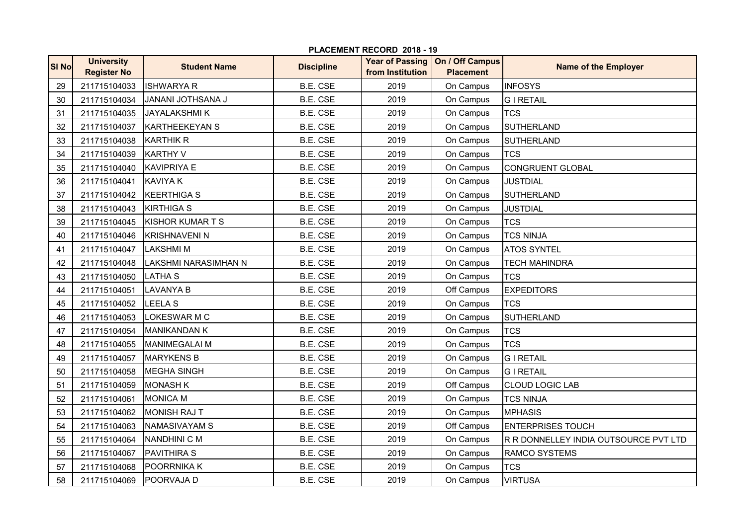| <b>SI No</b> | <b>University</b><br><b>Register No</b> | <b>Student Name</b>      | <b>Discipline</b> | <b>Year of Passing</b><br>from Institution | On / Off Campus<br><b>Placement</b> | <b>Name of the Employer</b>           |
|--------------|-----------------------------------------|--------------------------|-------------------|--------------------------------------------|-------------------------------------|---------------------------------------|
| 29           | 211715104033                            | <b>ISHWARYA R</b>        | <b>B.E. CSE</b>   | 2019                                       | On Campus                           | <b>INFOSYS</b>                        |
| 30           | 211715104034                            | <b>JANANI JOTHSANA J</b> | B.E. CSE          | 2019                                       | On Campus                           | <b>GIRETAIL</b>                       |
| 31           | 211715104035                            | <b>JAYALAKSHMIK</b>      | <b>B.E. CSE</b>   | 2019                                       | On Campus                           | <b>TCS</b>                            |
| 32           | 211715104037                            | <b>KARTHEEKEYAN S</b>    | <b>B.E. CSE</b>   | 2019                                       | On Campus                           | <b>SUTHERLAND</b>                     |
| 33           | 211715104038                            | <b>KARTHIK R</b>         | <b>B.E. CSE</b>   | 2019                                       | On Campus                           | SUTHERLAND                            |
| 34           | 211715104039                            | <b>KARTHY V</b>          | <b>B.E. CSE</b>   | 2019                                       | On Campus                           | <b>TCS</b>                            |
| 35           | 211715104040                            | <b>KAVIPRIYA E</b>       | <b>B.E. CSE</b>   | 2019                                       | On Campus                           | <b>CONGRUENT GLOBAL</b>               |
| 36           | 211715104041                            | <b>KAVIYA K</b>          | <b>B.E. CSE</b>   | 2019                                       | On Campus                           | <b>JUSTDIAL</b>                       |
| 37           | 211715104042                            | <b>KEERTHIGA S</b>       | <b>B.E. CSE</b>   | 2019                                       | On Campus                           | <b>SUTHERLAND</b>                     |
| 38           | 211715104043                            | KIRTHIGA S               | <b>B.E. CSE</b>   | 2019                                       | On Campus                           | <b>JUSTDIAL</b>                       |
| 39           | 211715104045                            | <b>KISHOR KUMARTS</b>    | <b>B.E. CSE</b>   | 2019                                       | On Campus                           | <b>TCS</b>                            |
| 40           | 211715104046                            | <b>KRISHNAVENI N</b>     | <b>B.E. CSE</b>   | 2019                                       | On Campus                           | <b>TCS NINJA</b>                      |
| 41           | 211715104047                            | <b>LAKSHMIM</b>          | <b>B.E. CSE</b>   | 2019                                       | On Campus                           | <b>ATOS SYNTEL</b>                    |
| 42           | 211715104048                            | LAKSHMI NARASIMHAN N     | <b>B.E. CSE</b>   | 2019                                       | On Campus                           | <b>TECH MAHINDRA</b>                  |
| 43           | 211715104050                            | <b>LATHA S</b>           | <b>B.E. CSE</b>   | 2019                                       | On Campus                           | <b>TCS</b>                            |
| 44           | 211715104051                            | <b>LAVANYA B</b>         | <b>B.E. CSE</b>   | 2019                                       | Off Campus                          | <b>EXPEDITORS</b>                     |
| 45           | 211715104052                            | <b>LEELA S</b>           | <b>B.E. CSE</b>   | 2019                                       | On Campus                           | <b>TCS</b>                            |
| 46           | 211715104053                            | <b>LOKESWAR M C</b>      | <b>B.E. CSE</b>   | 2019                                       | On Campus                           | <b>SUTHERLAND</b>                     |
| 47           | 211715104054                            | <b>MANIKANDAN K</b>      | B.E. CSE          | 2019                                       | On Campus                           | <b>TCS</b>                            |
| 48           | 211715104055                            | <b>MANIMEGALAI M</b>     | <b>B.E. CSE</b>   | 2019                                       | On Campus                           | <b>TCS</b>                            |
| 49           | 211715104057                            | <b>MARYKENS B</b>        | <b>B.E. CSE</b>   | 2019                                       | On Campus                           | <b>GIRETAIL</b>                       |
| 50           | 211715104058                            | <b>MEGHA SINGH</b>       | <b>B.E. CSE</b>   | 2019                                       | On Campus                           | <b>GIRETAIL</b>                       |
| 51           | 211715104059                            | <b>MONASH K</b>          | <b>B.E. CSE</b>   | 2019                                       | Off Campus                          | <b>CLOUD LOGIC LAB</b>                |
| 52           | 211715104061                            | <b>MONICA M</b>          | <b>B.E. CSE</b>   | 2019                                       | On Campus                           | <b>TCS NINJA</b>                      |
| 53           | 211715104062                            | <b>MONISH RAJ T</b>      | B.E. CSE          | 2019                                       | On Campus                           | <b>MPHASIS</b>                        |
| 54           | 211715104063                            | <b>NAMASIVAYAM S</b>     | <b>B.E. CSE</b>   | 2019                                       | Off Campus                          | <b>ENTERPRISES TOUCH</b>              |
| 55           | 211715104064                            | NANDHINI C M             | <b>B.E. CSE</b>   | 2019                                       | On Campus                           | R R DONNELLEY INDIA OUTSOURCE PVT LTD |
| 56           | 211715104067                            | <b>PAVITHIRA S</b>       | <b>B.E. CSE</b>   | 2019                                       | On Campus                           | <b>RAMCO SYSTEMS</b>                  |
| 57           | 211715104068                            | POORRNIKA K              | B.E. CSE          | 2019                                       | On Campus                           | <b>TCS</b>                            |
| 58           | 211715104069                            | POORVAJA D               | <b>B.E. CSE</b>   | 2019                                       | On Campus                           | <b>VIRTUSA</b>                        |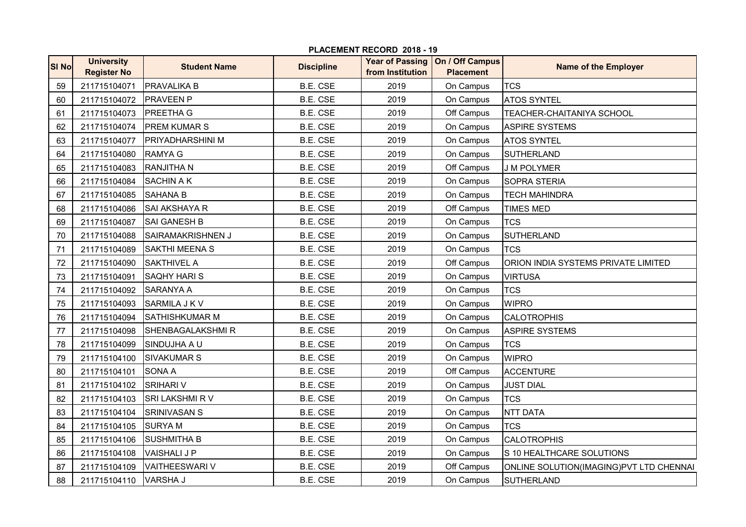|              |                                         |                         |                   | PLACEMENT RECORD 2018 - 19 |                                                       |                                         |  |
|--------------|-----------------------------------------|-------------------------|-------------------|----------------------------|-------------------------------------------------------|-----------------------------------------|--|
| <b>SI No</b> | <b>University</b><br><b>Register No</b> | <b>Student Name</b>     | <b>Discipline</b> | from Institution           | Year of Passing   On / Off Campus<br><b>Placement</b> | <b>Name of the Employer</b>             |  |
| 59           | 211715104071                            | <b>PRAVALIKA B</b>      | B.E. CSE          | 2019                       | On Campus                                             | <b>TCS</b>                              |  |
| 60           | 211715104072                            | <b>PRAVEEN P</b>        | <b>B.E. CSE</b>   | 2019                       | On Campus                                             | <b>ATOS SYNTEL</b>                      |  |
| 61           | 211715104073                            | <b>PREETHA G</b>        | B.E. CSE          | 2019                       | Off Campus                                            | TEACHER-CHAITANIYA SCHOOL               |  |
| 62           | 211715104074                            | <b>PREM KUMAR S</b>     | B.E. CSE          | 2019                       | On Campus                                             | <b>ASPIRE SYSTEMS</b>                   |  |
| 63           | 211715104077                            | <b>PRIYADHARSHINI M</b> | B.E. CSE          | 2019                       | On Campus                                             | <b>ATOS SYNTEL</b>                      |  |
| 64           | 211715104080                            | <b>RAMYA G</b>          | B.E. CSE          | 2019                       | On Campus                                             | <b>SUTHERLAND</b>                       |  |
| 65           | 211715104083                            | <b>RANJITHA N</b>       | B.E. CSE          | 2019                       | Off Campus                                            | <b>J M POLYMER</b>                      |  |
| 66           | 211715104084                            | <b>SACHIN A K</b>       | B.E. CSE          | 2019                       | On Campus                                             | <b>SOPRA STERIA</b>                     |  |
| 67           | 211715104085                            | <b>SAHANA B</b>         | B.E. CSE          | 2019                       | On Campus                                             | <b>TECH MAHINDRA</b>                    |  |
| 68           | 211715104086                            | <b>SAI AKSHAYA R</b>    | B.E. CSE          | 2019                       | Off Campus                                            | TIMES MED                               |  |
| 69           | 211715104087                            | <b>SAI GANESH B</b>     | B.E. CSE          | 2019                       | On Campus                                             | <b>TCS</b>                              |  |
| 70           | 211715104088                            | SAIRAMAKRISHNEN J       | B.E. CSE          | 2019                       | On Campus                                             | <b>SUTHERLAND</b>                       |  |
| 71           | 211715104089                            | <b>SAKTHI MEENA S</b>   | B.E. CSE          | 2019                       | On Campus                                             | <b>TCS</b>                              |  |
| 72           | 211715104090                            | <b>SAKTHIVEL A</b>      | <b>B.E. CSE</b>   | 2019                       | Off Campus                                            | ORION INDIA SYSTEMS PRIVATE LIMITED     |  |
| 73           | 211715104091                            | <b>SAQHY HARI S</b>     | <b>B.E. CSE</b>   | 2019                       | On Campus                                             | <b>VIRTUSA</b>                          |  |
| 74           | 211715104092                            | <b>SARANYA A</b>        | B.E. CSE          | 2019                       | On Campus                                             | <b>TCS</b>                              |  |
| 75           | 211715104093                            | <b>SARMILA J K V</b>    | B.E. CSE          | 2019                       | On Campus                                             | <b>WIPRO</b>                            |  |
| 76           | 211715104094                            | <b>SATHISHKUMAR M</b>   | B.E. CSE          | 2019                       | On Campus                                             | <b>CALOTROPHIS</b>                      |  |
| 77           | 211715104098                            | SHENBAGALAKSHMIR        | B.E. CSE          | 2019                       | On Campus                                             | <b>ASPIRE SYSTEMS</b>                   |  |
| 78           | 211715104099                            | SINDUJHA A U            | <b>B.E. CSE</b>   | 2019                       | On Campus                                             | <b>TCS</b>                              |  |
| 79           | 211715104100                            | <b>SIVAKUMAR S</b>      | B.E. CSE          | 2019                       | On Campus                                             | <b>WIPRO</b>                            |  |
| 80           | 211715104101                            | <b>SONA A</b>           | B.E. CSE          | 2019                       | Off Campus                                            | <b>ACCENTURE</b>                        |  |
| 81           | 211715104102                            | <b>SRIHARI V</b>        | B.E. CSE          | 2019                       | On Campus                                             | <b>JUST DIAL</b>                        |  |
| 82           | 211715104103                            | SRI LAKSHMI R V         | B.E. CSE          | 2019                       | On Campus                                             | <b>TCS</b>                              |  |
| 83           | 211715104104                            | <b>SRINIVASAN S</b>     | B.E. CSE          | 2019                       | On Campus                                             | <b>NTT DATA</b>                         |  |
| 84           | 211715104105                            | <b>SURYAM</b>           | B.E. CSE          | 2019                       | On Campus                                             | <b>TCS</b>                              |  |
| 85           | 211715104106                            | <b>SUSHMITHA B</b>      | B.E. CSE          | 2019                       | On Campus                                             | <b>CALOTROPHIS</b>                      |  |
| 86           | 211715104108                            | <b>VAISHALI J P</b>     | B.E. CSE          | 2019                       | On Campus                                             | S 10 HEALTHCARE SOLUTIONS               |  |
| 87           | 211715104109                            | <b>VAITHEESWARI V</b>   | B.E. CSE          | 2019                       | Off Campus                                            | ONLINE SOLUTION(IMAGING)PVT LTD CHENNAI |  |
| 88           | 211715104110                            | <b>VARSHA J</b>         | <b>B.E. CSE</b>   | 2019                       | On Campus                                             | <b>SUTHERLAND</b>                       |  |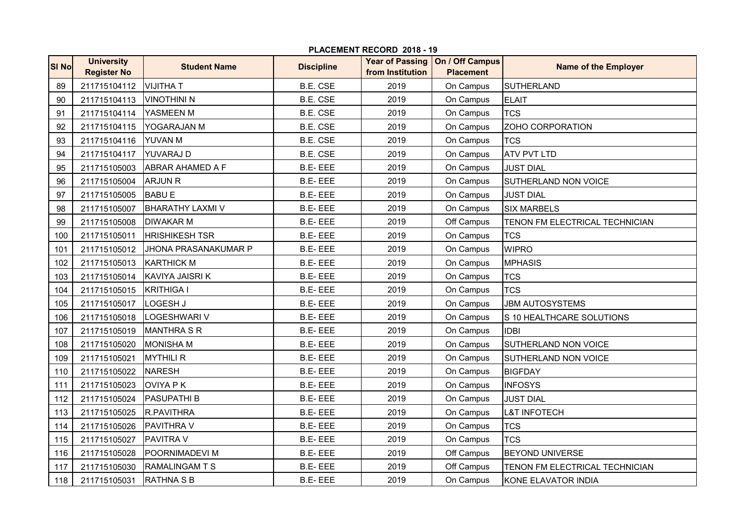| <b>SI No</b> | <b>University</b><br><b>Register No</b> | <b>Student Name</b>     | <b>Discipline</b> | <b>Year of Passing</b><br>from Institution | On / Off Campus<br><b>Placement</b> | <b>Name of the Employer</b>    |
|--------------|-----------------------------------------|-------------------------|-------------------|--------------------------------------------|-------------------------------------|--------------------------------|
| 89           | 211715104112                            | <b>VIJITHAT</b>         | <b>B.E. CSE</b>   | 2019                                       | On Campus                           | <b>SUTHERLAND</b>              |
| 90           | 211715104113                            | <b>VINOTHINI N</b>      | <b>B.E. CSE</b>   | 2019                                       | On Campus                           | <b>ELAIT</b>                   |
| 91           | 211715104114                            | YASMEEN M               | <b>B.E. CSE</b>   | 2019                                       | On Campus                           | <b>TCS</b>                     |
| 92           | 211715104115                            | YOGARAJAN M             | <b>B.E. CSE</b>   | 2019                                       | On Campus                           | ZOHO CORPORATION               |
| 93           | 211715104116                            | YUVAN M                 | <b>B.E. CSE</b>   | 2019                                       | On Campus                           | <b>TCS</b>                     |
| 94           | 211715104117                            | YUVARAJ D               | <b>B.E. CSE</b>   | 2019                                       | On Campus                           | <b>ATV PVT LTD</b>             |
| 95           | 211715105003                            | <b>ABRAR AHAMED A F</b> | <b>B.E-EEE</b>    | 2019                                       | On Campus                           | <b>JUST DIAL</b>               |
| 96           | 211715105004                            | <b>ARJUN R</b>          | <b>B.E-EEE</b>    | 2019                                       | On Campus                           | SUTHERLAND NON VOICE           |
| 97           | 211715105005                            | <b>BABU E</b>           | <b>B.E-EEE</b>    | 2019                                       | On Campus                           | JUST DIAL                      |
| 98           | 211715105007                            | <b>BHARATHY LAXMI V</b> | <b>B.E-EEE</b>    | 2019                                       | On Campus                           | <b>SIX MARBELS</b>             |
| 99           | 211715105008                            | <b>DIWAKAR M</b>        | <b>B.E-EEE</b>    | 2019                                       | Off Campus                          | TENON FM ELECTRICAL TECHNICIAN |
| 100          | 211715105011                            | <b>HRISHIKESH TSR</b>   | <b>B.E-EEE</b>    | 2019                                       | On Campus                           | <b>TCS</b>                     |
| 101          | 211715105012                            | JHONA PRASANAKUMAR P    | <b>B.E-EEE</b>    | 2019                                       | On Campus                           | <b>WIPRO</b>                   |
| 102          | 211715105013                            | <b>KARTHICK M</b>       | <b>B.E-EEE</b>    | 2019                                       | On Campus                           | <b>MPHASIS</b>                 |
| 103          | 211715105014                            | KAVIYA JAISRI K         | <b>B.E-EEE</b>    | 2019                                       | On Campus                           | <b>TCS</b>                     |
| 104          | 211715105015                            | <b>KRITHIGA I</b>       | <b>B.E-EEE</b>    | 2019                                       | On Campus                           | <b>TCS</b>                     |
| 105          | 211715105017                            | LOGESH J                | <b>B.E-EEE</b>    | 2019                                       | On Campus                           | <b>JBM AUTOSYSTEMS</b>         |
| 106          | 211715105018                            | LOGESHWARI V            | <b>B.E-EEE</b>    | 2019                                       | On Campus                           | S 10 HEALTHCARE SOLUTIONS      |
| 107          | 211715105019                            | <b>MANTHRA S R</b>      | <b>B.E-EEE</b>    | 2019                                       | On Campus                           | <b>IDBI</b>                    |
| 108          | 211715105020                            | <b>MONISHA M</b>        | <b>B.E-EEE</b>    | 2019                                       | On Campus                           | SUTHERLAND NON VOICE           |
| 109          | 211715105021                            | <b>MYTHILI R</b>        | <b>B.E-EEE</b>    | 2019                                       | On Campus                           | SUTHERLAND NON VOICE           |
| 110          | 211715105022                            | <b>NARESH</b>           | <b>B.E-EEE</b>    | 2019                                       | On Campus                           | <b>BIGFDAY</b>                 |
| 111          | 211715105023                            | <b>OVIYA PK</b>         | <b>B.E-EEE</b>    | 2019                                       | On Campus                           | <b>INFOSYS</b>                 |
| 112          | 211715105024                            | <b>PASUPATHI B</b>      | <b>B.E-EEE</b>    | 2019                                       | On Campus                           | <b>JUST DIAL</b>               |
| 113          | 211715105025                            | <b>R.PAVITHRA</b>       | <b>B.E-EEE</b>    | 2019                                       | On Campus                           | <b>L&amp;T INFOTECH</b>        |
| 114          | 211715105026                            | <b>PAVITHRA V</b>       | <b>B.E-EEE</b>    | 2019                                       | On Campus                           | <b>TCS</b>                     |
| 115          | 211715105027                            | <b>PAVITRA V</b>        | <b>B.E-EEE</b>    | 2019                                       | On Campus                           | <b>TCS</b>                     |
| 116          | 211715105028                            | <b>POORNIMADEVI M</b>   | <b>B.E-EEE</b>    | 2019                                       | Off Campus                          | <b>BEYOND UNIVERSE</b>         |
| 117          | 211715105030                            | <b>RAMALINGAMTS</b>     | <b>B.E-EEE</b>    | 2019                                       | Off Campus                          | TENON FM ELECTRICAL TECHNICIAN |
| 118          | 211715105031                            | <b>RATHNA S B</b>       | <b>B.E-EEE</b>    | 2019                                       | On Campus                           | KONE ELAVATOR INDIA            |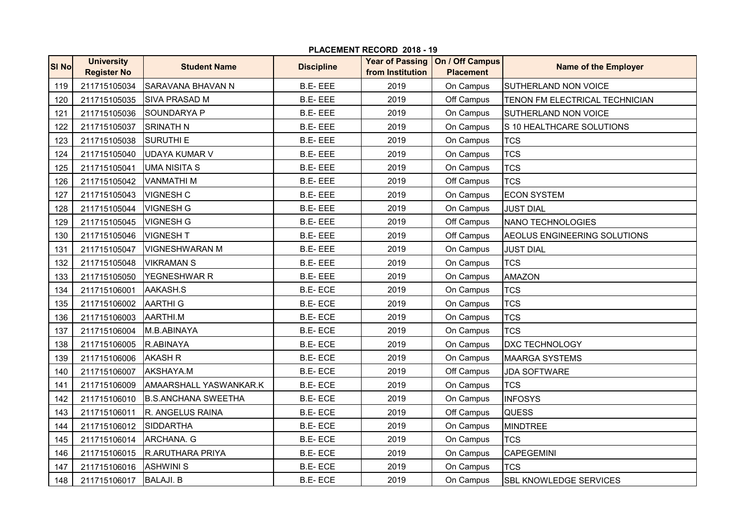| <b>SI No</b> | <b>University</b><br><b>Register No</b> | <b>Student Name</b>        | <b>Discipline</b> | <b>Year of Passing</b><br>from Institution | On / Off Campus<br><b>Placement</b> | <b>Name of the Employer</b>    |
|--------------|-----------------------------------------|----------------------------|-------------------|--------------------------------------------|-------------------------------------|--------------------------------|
| 119          | 211715105034                            | SARAVANA BHAVAN N          | <b>B.E-EEE</b>    | 2019                                       | On Campus                           | <b>SUTHERLAND NON VOICE</b>    |
| 120          | 211715105035                            | <b>SIVA PRASAD M</b>       | <b>B.E-EEE</b>    | 2019                                       | Off Campus                          | TENON FM ELECTRICAL TECHNICIAN |
| 121          | 211715105036                            | <b>SOUNDARYA P</b>         | <b>B.E-EEE</b>    | 2019                                       | On Campus                           | SUTHERLAND NON VOICE           |
| 122          | 211715105037                            | <b>SRINATH N</b>           | <b>B.E-EEE</b>    | 2019                                       | On Campus                           | S 10 HEALTHCARE SOLUTIONS      |
| 123          | 211715105038                            | <b>SURUTHI E</b>           | <b>B.E-EEE</b>    | 2019                                       | On Campus                           | <b>TCS</b>                     |
| 124          | 211715105040                            | <b>UDAYA KUMAR V</b>       | <b>B.E-EEE</b>    | 2019                                       | On Campus                           | <b>TCS</b>                     |
| 125          | 211715105041                            | <b>UMA NISITA S</b>        | <b>B.E-EEE</b>    | 2019                                       | On Campus                           | <b>TCS</b>                     |
| 126          | 211715105042                            | <b>VANMATHIM</b>           | <b>B.E-EEE</b>    | 2019                                       | Off Campus                          | <b>TCS</b>                     |
| 127          | 211715105043                            | <b>VIGNESH C</b>           | <b>B.E-EEE</b>    | 2019                                       | On Campus                           | <b>ECON SYSTEM</b>             |
| 128          | 211715105044                            | <b>VIGNESH G</b>           | <b>B.E-EEE</b>    | 2019                                       | On Campus                           | <b>JUST DIAL</b>               |
| 129          | 211715105045                            | <b>VIGNESH G</b>           | <b>B.E-EEE</b>    | 2019                                       | Off Campus                          | NANO TECHNOLOGIES              |
| 130          | 211715105046                            | <b>VIGNESH T</b>           | <b>B.E-EEE</b>    | 2019                                       | Off Campus                          | AEOLUS ENGINEERING SOLUTIONS   |
| 131          | 211715105047                            | <b>VIGNESHWARAN M</b>      | <b>B.E-EEE</b>    | 2019                                       | On Campus                           | <b>JUST DIAL</b>               |
| 132          | 211715105048                            | <b>VIKRAMAN S</b>          | <b>B.E-EEE</b>    | 2019                                       | On Campus                           | <b>TCS</b>                     |
| 133          | 211715105050                            | YEGNESHWAR R               | <b>B.E-EEE</b>    | 2019                                       | On Campus                           | <b>AMAZON</b>                  |
| 134          | 211715106001                            | AAKASH.S                   | <b>B.E-ECE</b>    | 2019                                       | On Campus                           | <b>TCS</b>                     |
| 135          | 211715106002                            | <b>AARTHI G</b>            | <b>B.E-ECE</b>    | 2019                                       | On Campus                           | <b>TCS</b>                     |
| 136          | 211715106003                            | AARTHI.M                   | <b>B.E-ECE</b>    | 2019                                       | On Campus                           | <b>TCS</b>                     |
| 137          | 211715106004                            | M.B.ABINAYA                | <b>B.E-ECE</b>    | 2019                                       | On Campus                           | <b>TCS</b>                     |
| 138          | 211715106005                            | R.ABINAYA                  | <b>B.E-ECE</b>    | 2019                                       | On Campus                           | <b>DXC TECHNOLOGY</b>          |
| 139          | 211715106006                            | <b>AKASH R</b>             | <b>B.E-ECE</b>    | 2019                                       | On Campus                           | <b>MAARGA SYSTEMS</b>          |
| 140          | 211715106007                            | AKSHAYA.M                  | <b>B.E-ECE</b>    | 2019                                       | Off Campus                          | <b>JDA SOFTWARE</b>            |
| 141          | 211715106009                            | AMAARSHALL YASWANKAR.K     | <b>B.E-ECE</b>    | 2019                                       | On Campus                           | <b>TCS</b>                     |
| 142          | 211715106010                            | <b>B.S.ANCHANA SWEETHA</b> | <b>B.E-ECE</b>    | 2019                                       | On Campus                           | <b>INFOSYS</b>                 |
| 143          | 211715106011                            | R. ANGELUS RAINA           | <b>B.E-ECE</b>    | 2019                                       | Off Campus                          | <b>QUESS</b>                   |
| 144          | 211715106012                            | <b>SIDDARTHA</b>           | <b>B.E-ECE</b>    | 2019                                       | On Campus                           | <b>MINDTREE</b>                |
| 145          | 211715106014                            | ARCHANA. G                 | <b>B.E-ECE</b>    | 2019                                       | On Campus                           | <b>TCS</b>                     |
| 146          | 211715106015                            | <b>R.ARUTHARA PRIYA</b>    | <b>B.E-ECE</b>    | 2019                                       | On Campus                           | CAPEGEMINI                     |
| 147          | 211715106016                            | <b>ASHWINI S</b>           | <b>B.E-ECE</b>    | 2019                                       | On Campus                           | <b>TCS</b>                     |
| 148          | 211715106017                            | <b>BALAJI. B</b>           | <b>B.E-ECE</b>    | 2019                                       | On Campus                           | <b>SBL KNOWLEDGE SERVICES</b>  |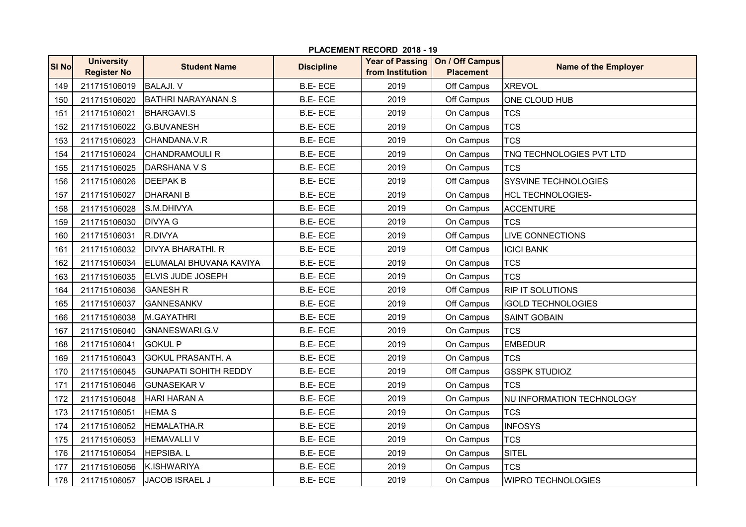| <b>SI No</b> | <b>University</b><br><b>Register No</b> | <b>Student Name</b>          | <b>Discipline</b> | <b>Year of Passing</b><br>from Institution | On / Off Campus<br><b>Placement</b> | <b>Name of the Employer</b> |
|--------------|-----------------------------------------|------------------------------|-------------------|--------------------------------------------|-------------------------------------|-----------------------------|
| 149          | 211715106019                            | <b>BALAJI. V</b>             | <b>B.E-ECE</b>    | 2019                                       | Off Campus                          | <b>XREVOL</b>               |
| 150          | 211715106020                            | <b>BATHRI NARAYANAN.S</b>    | <b>B.E-ECE</b>    | 2019                                       | Off Campus                          | ONE CLOUD HUB               |
| 151          | 211715106021                            | <b>BHARGAVI.S</b>            | <b>B.E-ECE</b>    | 2019                                       | On Campus                           | <b>TCS</b>                  |
| 152          | 211715106022                            | <b>G.BUVANESH</b>            | <b>B.E-ECE</b>    | 2019                                       | On Campus                           | <b>TCS</b>                  |
| 153          | 211715106023                            | CHANDANA.V.R                 | <b>B.E-ECE</b>    | 2019                                       | On Campus                           | <b>TCS</b>                  |
| 154          | 211715106024                            | <b>CHANDRAMOULI R</b>        | <b>B.E-ECE</b>    | 2019                                       | On Campus                           | TNQ TECHNOLOGIES PVT LTD    |
| 155          | 211715106025                            | DARSHANA V S                 | <b>B.E-ECE</b>    | 2019                                       | On Campus                           | <b>TCS</b>                  |
| 156          | 211715106026                            | <b>DEEPAK B</b>              | <b>B.E-ECE</b>    | 2019                                       | Off Campus                          | <b>SYSVINE TECHNOLOGIES</b> |
| 157          | 211715106027                            | <b>DHARANI B</b>             | <b>B.E-ECE</b>    | 2019                                       | On Campus                           | <b>HCL TECHNOLOGIES-</b>    |
| 158          | 211715106028                            | S.M.DHIVYA                   | <b>B.E-ECE</b>    | 2019                                       | On Campus                           | <b>ACCENTURE</b>            |
| 159          | 211715106030                            | <b>DIVYA G</b>               | <b>B.E-ECE</b>    | 2019                                       | On Campus                           | <b>TCS</b>                  |
| 160          | 211715106031                            | R.DIVYA                      | <b>B.E-ECE</b>    | 2019                                       | Off Campus                          | <b>LIVE CONNECTIONS</b>     |
| 161          | 211715106032                            | <b>DIVYA BHARATHI. R</b>     | <b>B.E-ECE</b>    | 2019                                       | Off Campus                          | <b>ICICI BANK</b>           |
| 162          | 211715106034                            | ELUMALAI BHUVANA KAVIYA      | <b>B.E-ECE</b>    | 2019                                       | On Campus                           | <b>TCS</b>                  |
| 163          | 211715106035                            | <b>ELVIS JUDE JOSEPH</b>     | <b>B.E-ECE</b>    | 2019                                       | On Campus                           | <b>TCS</b>                  |
| 164          | 211715106036                            | <b>GANESH R</b>              | <b>B.E-ECE</b>    | 2019                                       | Off Campus                          | <b>RIP IT SOLUTIONS</b>     |
| 165          | 211715106037                            | <b>GANNESANKV</b>            | <b>B.E-ECE</b>    | 2019                                       | Off Campus                          | <b>iGOLD TECHNOLOGIES</b>   |
| 166          | 211715106038                            | M.GAYATHRI                   | <b>B.E-ECE</b>    | 2019                                       | On Campus                           | <b>SAINT GOBAIN</b>         |
| 167          | 211715106040                            | GNANESWARI.G.V               | <b>B.E-ECE</b>    | 2019                                       | On Campus                           | <b>TCS</b>                  |
| 168          | 211715106041                            | <b>GOKUL P</b>               | <b>B.E-ECE</b>    | 2019                                       | On Campus                           | <b>EMBEDUR</b>              |
| 169          | 211715106043                            | <b>GOKUL PRASANTH. A</b>     | <b>B.E-ECE</b>    | 2019                                       | On Campus                           | <b>TCS</b>                  |
| 170          | 211715106045                            | <b>GUNAPATI SOHITH REDDY</b> | <b>B.E-ECE</b>    | 2019                                       | Off Campus                          | <b>GSSPK STUDIOZ</b>        |
| 171          | 211715106046                            | <b>GUNASEKAR V</b>           | <b>B.E-ECE</b>    | 2019                                       | On Campus                           | <b>TCS</b>                  |
| 172          | 211715106048                            | HARI HARAN A                 | <b>B.E-ECE</b>    | 2019                                       | On Campus                           | NU INFORMATION TECHNOLOGY   |
| 173          | 211715106051                            | <b>HEMA S</b>                | <b>B.E-ECE</b>    | 2019                                       | On Campus                           | <b>TCS</b>                  |
| 174          | 211715106052                            | <b>HEMALATHA.R</b>           | <b>B.E-ECE</b>    | 2019                                       | On Campus                           | <b>INFOSYS</b>              |
| 175          | 211715106053                            | <b>HEMAVALLIV</b>            | <b>B.E-ECE</b>    | 2019                                       | On Campus                           | <b>TCS</b>                  |
| 176          | 211715106054                            | HEPSIBA.L                    | <b>B.E-ECE</b>    | 2019                                       | On Campus                           | <b>SITEL</b>                |
| 177          | 211715106056                            | K.ISHWARIYA                  | <b>B.E-ECE</b>    | 2019                                       | On Campus                           | <b>TCS</b>                  |
| 178          | 211715106057                            | <b>JACOB ISRAEL J</b>        | <b>B.E-ECE</b>    | 2019                                       | On Campus                           | <b>WIPRO TECHNOLOGIES</b>   |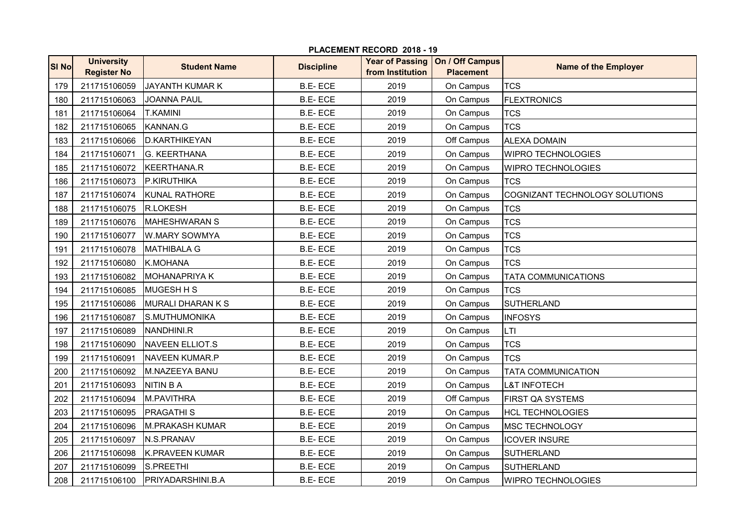| <b>SI No</b> | <b>University</b><br><b>Register No</b> | <b>Student Name</b>    | <b>Discipline</b> | <b>Year of Passing</b><br>from Institution | On / Off Campus<br><b>Placement</b> | <b>Name of the Employer</b>    |
|--------------|-----------------------------------------|------------------------|-------------------|--------------------------------------------|-------------------------------------|--------------------------------|
| 179          | 211715106059                            | <b>JAYANTH KUMAR K</b> | <b>B.E-ECE</b>    | 2019                                       | On Campus                           | <b>TCS</b>                     |
| 180          | 211715106063                            | <b>JOANNA PAUL</b>     | <b>B.E-ECE</b>    | 2019                                       | On Campus                           | <b>FLEXTRONICS</b>             |
| 181          | 211715106064                            | <b>T.KAMINI</b>        | <b>B.E-ECE</b>    | 2019                                       | On Campus                           | <b>TCS</b>                     |
| 182          | 211715106065                            | KANNAN.G               | <b>B.E-ECE</b>    | 2019                                       | On Campus                           | <b>TCS</b>                     |
| 183          | 211715106066                            | <b>D.KARTHIKEYAN</b>   | <b>B.E-ECE</b>    | 2019                                       | Off Campus                          | <b>ALEXA DOMAIN</b>            |
| 184          | 211715106071                            | <b>G. KEERTHANA</b>    | <b>B.E-ECE</b>    | 2019                                       | On Campus                           | WIPRO TECHNOLOGIES             |
| 185          | 211715106072                            | <b>KEERTHANA.R</b>     | <b>B.E-ECE</b>    | 2019                                       | On Campus                           | <b>WIPRO TECHNOLOGIES</b>      |
| 186          | 211715106073                            | P.KIRUTHIKA            | B.E-ECE           | 2019                                       | On Campus                           | <b>TCS</b>                     |
| 187          | 211715106074                            | <b>KUNAL RATHORE</b>   | <b>B.E-ECE</b>    | 2019                                       | On Campus                           | COGNIZANT TECHNOLOGY SOLUTIONS |
| 188          | 211715106075                            | R.LOKESH               | <b>B.E-ECE</b>    | 2019                                       | On Campus                           | <b>TCS</b>                     |
| 189          | 211715106076                            | <b>MAHESHWARAN S</b>   | <b>B.E-ECE</b>    | 2019                                       | On Campus                           | <b>TCS</b>                     |
| 190          | 211715106077                            | <b>W.MARY SOWMYA</b>   | <b>B.E-ECE</b>    | 2019                                       | On Campus                           | <b>TCS</b>                     |
| 191          | 211715106078                            | <b>MATHIBALA G</b>     | <b>B.E-ECE</b>    | 2019                                       | On Campus                           | <b>TCS</b>                     |
| 192          | 211715106080                            | K.MOHANA               | <b>B.E-ECE</b>    | 2019                                       | On Campus                           | <b>TCS</b>                     |
| 193          | 211715106082                            | <b>MOHANAPRIYA K</b>   | <b>B.E-ECE</b>    | 2019                                       | On Campus                           | TATA COMMUNICATIONS            |
| 194          | 211715106085                            | <b>MUGESH H S</b>      | <b>B.E-ECE</b>    | 2019                                       | On Campus                           | <b>TCS</b>                     |
| 195          | 211715106086                            | MURALI DHARAN K S      | <b>B.E-ECE</b>    | 2019                                       | On Campus                           | <b>SUTHERLAND</b>              |
| 196          | 211715106087                            | S.MUTHUMONIKA          | <b>B.E-ECE</b>    | 2019                                       | On Campus                           | <b>INFOSYS</b>                 |
| 197          | 211715106089                            | NANDHINI.R             | <b>B.E-ECE</b>    | 2019                                       | On Campus                           | LTI                            |
| 198          | 211715106090                            | NAVEEN ELLIOT.S        | <b>B.E-ECE</b>    | 2019                                       | On Campus                           | <b>TCS</b>                     |
| 199          | 211715106091                            | NAVEEN KUMAR.P         | <b>B.E-ECE</b>    | 2019                                       | On Campus                           | <b>TCS</b>                     |
| 200          | 211715106092                            | M.NAZEEYA BANU         | <b>B.E-ECE</b>    | 2019                                       | On Campus                           | <b>TATA COMMUNICATION</b>      |
| 201          | 211715106093                            | <b>NITIN B A</b>       | <b>B.E-ECE</b>    | 2019                                       | On Campus                           | <b>L&amp;T INFOTECH</b>        |
| 202          | 211715106094                            | <b>M.PAVITHRA</b>      | <b>B.E-ECE</b>    | 2019                                       | Off Campus                          | FIRST QA SYSTEMS               |
| 203          | 211715106095                            | <b>PRAGATHIS</b>       | <b>B.E-ECE</b>    | 2019                                       | On Campus                           | <b>HCL TECHNOLOGIES</b>        |
| 204          | 211715106096                            | <b>M.PRAKASH KUMAR</b> | <b>B.E-ECE</b>    | 2019                                       | On Campus                           | <b>MSC TECHNOLOGY</b>          |
| 205          | 211715106097                            | N.S.PRANAV             | <b>B.E-ECE</b>    | 2019                                       | On Campus                           | <b>ICOVER INSURE</b>           |
| 206          | 211715106098                            | <b>K.PRAVEEN KUMAR</b> | <b>B.E-ECE</b>    | 2019                                       | On Campus                           | <b>SUTHERLAND</b>              |
| 207          | 211715106099                            | S.PREETHI              | <b>B.E-ECE</b>    | 2019                                       | On Campus                           | <b>SUTHERLAND</b>              |
| 208          | 211715106100                            | PRIYADARSHINI.B.A      | <b>B.E-ECE</b>    | 2019                                       | On Campus                           | <b>WIPRO TECHNOLOGIES</b>      |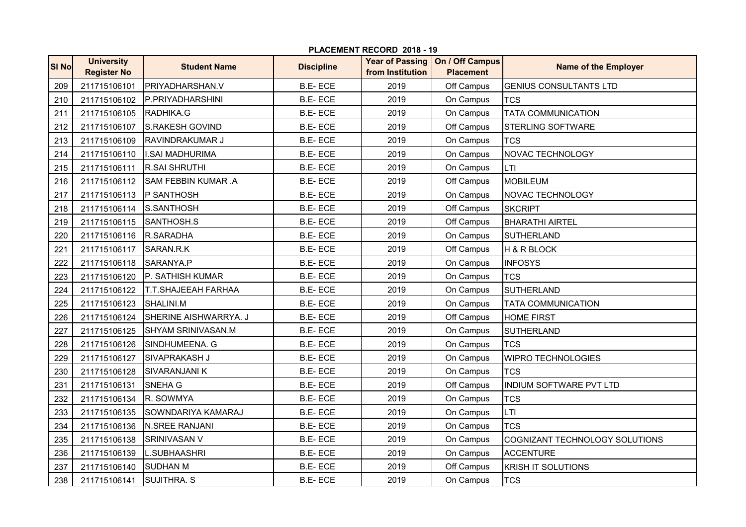| <b>SI No</b> | <b>University</b><br><b>Register No</b> | <b>Student Name</b>        | <b>Discipline</b> | <b>Year of Passing</b><br>from Institution | On / Off Campus<br><b>Placement</b> | <b>Name of the Employer</b>    |
|--------------|-----------------------------------------|----------------------------|-------------------|--------------------------------------------|-------------------------------------|--------------------------------|
| 209          | 211715106101                            | PRIYADHARSHAN.V            | <b>B.E-ECE</b>    | 2019                                       | Off Campus                          | <b>GENIUS CONSULTANTS LTD</b>  |
| 210          | 211715106102                            | P.PRIYADHARSHINI           | <b>B.E-ECE</b>    | 2019                                       | On Campus                           | <b>TCS</b>                     |
| 211          | 211715106105                            | RADHIKA.G                  | <b>B.E-ECE</b>    | 2019                                       | On Campus                           | <b>TATA COMMUNICATION</b>      |
| 212          | 211715106107                            | S.RAKESH GOVIND            | <b>B.E-ECE</b>    | 2019                                       | Off Campus                          | <b>STERLING SOFTWARE</b>       |
| 213          | 211715106109                            | <b>RAVINDRAKUMAR J</b>     | <b>B.E-ECE</b>    | 2019                                       | On Campus                           | <b>TCS</b>                     |
| 214          | 211715106110                            | <b>I.SAI MADHURIMA</b>     | <b>B.E-ECE</b>    | 2019                                       | On Campus                           | NOVAC TECHNOLOGY               |
| 215          | 211715106111                            | <b>R.SAI SHRUTHI</b>       | <b>B.E-ECE</b>    | 2019                                       | On Campus                           | <b>LTI</b>                     |
| 216          | 211715106112                            | <b>SAM FEBBIN KUMAR .A</b> | <b>B.E-ECE</b>    | 2019                                       | Off Campus                          | <b>MOBILEUM</b>                |
| 217          | 211715106113                            | P SANTHOSH                 | <b>B.E-ECE</b>    | 2019                                       | On Campus                           | NOVAC TECHNOLOGY               |
| 218          | 211715106114                            | S.SANTHOSH                 | <b>B.E-ECE</b>    | 2019                                       | Off Campus                          | <b>SKCRIPT</b>                 |
| 219          | 211715106115                            | SANTHOSH.S                 | <b>B.E-ECE</b>    | 2019                                       | Off Campus                          | <b>BHARATHI AIRTEL</b>         |
| 220          | 211715106116                            | R.SARADHA                  | <b>B.E-ECE</b>    | 2019                                       | On Campus                           | <b>SUTHERLAND</b>              |
| 221          | 211715106117                            | SARAN.R.K                  | <b>B.E-ECE</b>    | 2019                                       | Off Campus                          | H & R BLOCK                    |
| 222          | 211715106118                            | SARANYA.P                  | <b>B.E-ECE</b>    | 2019                                       | On Campus                           | <b>INFOSYS</b>                 |
| 223          | 211715106120                            | P. SATHISH KUMAR           | <b>B.E-ECE</b>    | 2019                                       | On Campus                           | <b>TCS</b>                     |
| 224          | 211715106122                            | <b>T.T.SHAJEEAH FARHAA</b> | <b>B.E-ECE</b>    | 2019                                       | On Campus                           | <b>SUTHERLAND</b>              |
| 225          | 211715106123                            | SHALINI.M                  | <b>B.E-ECE</b>    | 2019                                       | On Campus                           | <b>TATA COMMUNICATION</b>      |
| 226          | 211715106124                            | SHERINE AISHWARRYA. J      | <b>B.E-ECE</b>    | 2019                                       | Off Campus                          | <b>HOME FIRST</b>              |
| 227          | 211715106125                            | SHYAM SRINIVASAN.M         | <b>B.E-ECE</b>    | 2019                                       | On Campus                           | <b>SUTHERLAND</b>              |
| 228          | 211715106126                            | SINDHUMEENA. G             | <b>B.E-ECE</b>    | 2019                                       | On Campus                           | <b>TCS</b>                     |
| 229          | 211715106127                            | SIVAPRAKASH J              | <b>B.E-ECE</b>    | 2019                                       | On Campus                           | <b>WIPRO TECHNOLOGIES</b>      |
| 230          | 211715106128                            | <b>SIVARANJANI K</b>       | <b>B.E-ECE</b>    | 2019                                       | On Campus                           | <b>TCS</b>                     |
| 231          | 211715106131                            | SNEHA G                    | <b>B.E-ECE</b>    | 2019                                       | Off Campus                          | INDIUM SOFTWARE PVT LTD        |
| 232          | 211715106134                            | R. SOWMYA                  | <b>B.E-ECE</b>    | 2019                                       | On Campus                           | <b>TCS</b>                     |
| 233          | 211715106135                            | SOWNDARIYA KAMARAJ         | <b>B.E-ECE</b>    | 2019                                       | On Campus                           | LTI                            |
| 234          | 211715106136                            | <b>N.SREE RANJANI</b>      | <b>B.E-ECE</b>    | 2019                                       | On Campus                           | <b>TCS</b>                     |
| 235          | 211715106138                            | <b>SRINIVASAN V</b>        | <b>B.E-ECE</b>    | 2019                                       | On Campus                           | COGNIZANT TECHNOLOGY SOLUTIONS |
| 236          | 211715106139                            | L.SUBHAASHRI               | <b>B.E-ECE</b>    | 2019                                       | On Campus                           | <b>ACCENTURE</b>               |
| 237          | 211715106140                            | <b>SUDHAN M</b>            | <b>B.E-ECE</b>    | 2019                                       | Off Campus                          | <b>KRISH IT SOLUTIONS</b>      |
| 238          | 211715106141                            | <b>SUJITHRA. S</b>         | <b>B.E-ECE</b>    | 2019                                       | On Campus                           | <b>TCS</b>                     |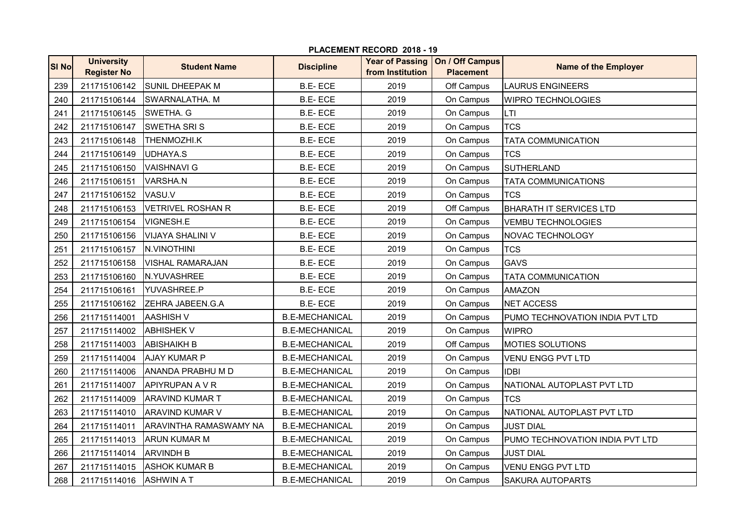| <b>SI No</b> | <b>University</b><br><b>Register No</b> | <b>Student Name</b>      | <b>Discipline</b>     | <b>Year of Passing</b><br>from Institution | On / Off Campus<br><b>Placement</b> | <b>Name of the Employer</b>     |
|--------------|-----------------------------------------|--------------------------|-----------------------|--------------------------------------------|-------------------------------------|---------------------------------|
| 239          | 211715106142                            | <b>SUNIL DHEEPAK M</b>   | <b>B.E-ECE</b>        | 2019                                       | Off Campus                          | <b>LAURUS ENGINEERS</b>         |
| 240          | 211715106144                            | <b>SWARNALATHA. M</b>    | <b>B.E-ECE</b>        | 2019                                       | On Campus                           | <b>WIPRO TECHNOLOGIES</b>       |
| 241          | 211715106145                            | SWETHA. G                | <b>B.E-ECE</b>        | 2019                                       | On Campus                           | <b>LTI</b>                      |
| 242          | 211715106147                            | <b>SWETHA SRIS</b>       | <b>B.E-ECE</b>        | 2019                                       | On Campus                           | <b>TCS</b>                      |
| 243          | 211715106148                            | <b>THENMOZHI.K</b>       | <b>B.E-ECE</b>        | 2019                                       | On Campus                           | <b>TATA COMMUNICATION</b>       |
| 244          | 211715106149                            | <b>UDHAYA.S</b>          | <b>B.E-ECE</b>        | 2019                                       | On Campus                           | <b>TCS</b>                      |
| 245          | 211715106150                            | <b>VAISHNAVI G</b>       | <b>B.E-ECE</b>        | 2019                                       | On Campus                           | <b>SUTHERLAND</b>               |
| 246          | 211715106151                            | <b>VARSHA.N</b>          | <b>B.E-ECE</b>        | 2019                                       | On Campus                           | <b>TATA COMMUNICATIONS</b>      |
| 247          | 211715106152                            | VASU.V                   | <b>B.E-ECE</b>        | 2019                                       | On Campus                           | <b>TCS</b>                      |
| 248          | 211715106153                            | <b>VETRIVEL ROSHAN R</b> | <b>B.E-ECE</b>        | 2019                                       | Off Campus                          | <b>BHARATH IT SERVICES LTD</b>  |
| 249          | 211715106154                            | <b>VIGNESH.E</b>         | <b>B.E-ECE</b>        | 2019                                       | On Campus                           | <b>VEMBU TECHNOLOGIES</b>       |
| 250          | 211715106156                            | <b>VIJAYA SHALINI V</b>  | <b>B.E-ECE</b>        | 2019                                       | On Campus                           | NOVAC TECHNOLOGY                |
| 251          | 211715106157                            | <b>N.VINOTHINI</b>       | <b>B.E-ECE</b>        | 2019                                       | On Campus                           | <b>TCS</b>                      |
| 252          | 211715106158                            | <b>VISHAL RAMARAJAN</b>  | <b>B.E-ECE</b>        | 2019                                       | On Campus                           | <b>GAVS</b>                     |
| 253          | 211715106160                            | N.YUVASHREE              | <b>B.E-ECE</b>        | 2019                                       | On Campus                           | <b>TATA COMMUNICATION</b>       |
| 254          | 211715106161                            | YUVASHREE.P              | <b>B.E-ECE</b>        | 2019                                       | On Campus                           | <b>AMAZON</b>                   |
| 255          | 211715106162                            | ZEHRA JABEEN.G.A         | <b>B.E-ECE</b>        | 2019                                       | On Campus                           | <b>NET ACCESS</b>               |
| 256          | 211715114001                            | <b>AASHISH V</b>         | <b>B.E-MECHANICAL</b> | 2019                                       | On Campus                           | PUMO TECHNOVATION INDIA PVT LTD |
| 257          | 211715114002                            | <b>ABHISHEK V</b>        | <b>B.E-MECHANICAL</b> | 2019                                       | On Campus                           | <b>WIPRO</b>                    |
| 258          | 211715114003                            | <b>ABISHAIKH B</b>       | <b>B.E-MECHANICAL</b> | 2019                                       | Off Campus                          | <b>MOTIES SOLUTIONS</b>         |
| 259          | 211715114004                            | <b>AJAY KUMAR P</b>      | <b>B.E-MECHANICAL</b> | 2019                                       | On Campus                           | <b>VENU ENGG PVT LTD</b>        |
| 260          | 211715114006                            | <b>ANANDA PRABHU M D</b> | <b>B.E-MECHANICAL</b> | 2019                                       | On Campus                           | <b>IDBI</b>                     |
| 261          | 211715114007                            | <b>APIYRUPAN A V R</b>   | <b>B.E-MECHANICAL</b> | 2019                                       | On Campus                           | NATIONAL AUTOPLAST PVT LTD      |
| 262          | 211715114009                            | <b>ARAVIND KUMAR T</b>   | <b>B.E-MECHANICAL</b> | 2019                                       | On Campus                           | <b>TCS</b>                      |
| 263          | 211715114010                            | <b>ARAVIND KUMAR V</b>   | <b>B.E-MECHANICAL</b> | 2019                                       | On Campus                           | NATIONAL AUTOPLAST PVT LTD      |
| 264          | 211715114011                            | ARAVINTHA RAMASWAMY NA   | <b>B.E-MECHANICAL</b> | 2019                                       | On Campus                           | <b>JUST DIAL</b>                |
| 265          | 211715114013                            | <b>ARUN KUMAR M</b>      | <b>B.E-MECHANICAL</b> | 2019                                       | On Campus                           | PUMO TECHNOVATION INDIA PVT LTD |
| 266          | 211715114014                            | <b>ARVINDH B</b>         | <b>B.E-MECHANICAL</b> | 2019                                       | On Campus                           | <b>JUST DIAL</b>                |
| 267          | 211715114015                            | <b>ASHOK KUMAR B</b>     | <b>B.E-MECHANICAL</b> | 2019                                       | On Campus                           | VENU ENGG PVT LTD               |
| 268          | 211715114016                            | <b>ASHWIN A T</b>        | <b>B.E-MECHANICAL</b> | 2019                                       | On Campus                           | <b>SAKURA AUTOPARTS</b>         |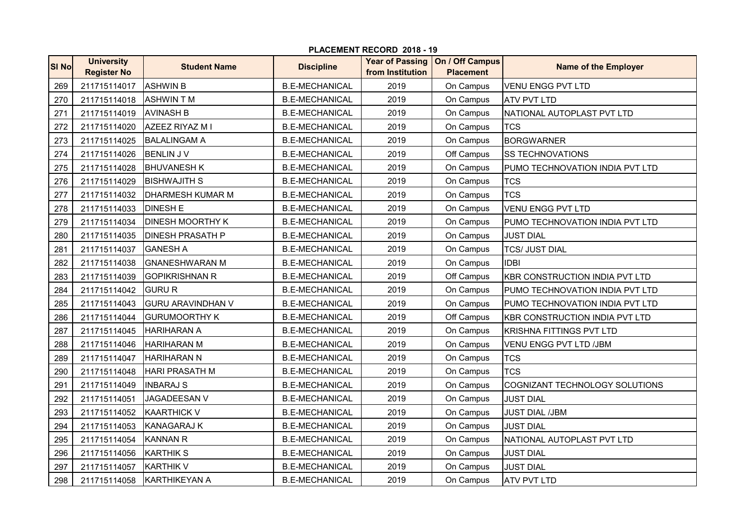|              | PLACEMENT RECORD 2018 - 19              |                          |                       |                                            |                                     |                                       |  |  |
|--------------|-----------------------------------------|--------------------------|-----------------------|--------------------------------------------|-------------------------------------|---------------------------------------|--|--|
| <b>SI No</b> | <b>University</b><br><b>Register No</b> | <b>Student Name</b>      | <b>Discipline</b>     | <b>Year of Passing</b><br>from Institution | On / Off Campus<br><b>Placement</b> | <b>Name of the Employer</b>           |  |  |
| 269          | 211715114017                            | <b>ASHWIN B</b>          | <b>B.E-MECHANICAL</b> | 2019                                       | On Campus                           | VENU ENGG PVT LTD                     |  |  |
| 270          | 211715114018                            | <b>ASHWINTM</b>          | <b>B.E-MECHANICAL</b> | 2019                                       | On Campus                           | <b>ATV PVT LTD</b>                    |  |  |
| 271          | 211715114019                            | <b>AVINASH B</b>         | <b>B.E-MECHANICAL</b> | 2019                                       | On Campus                           | NATIONAL AUTOPLAST PVT LTD            |  |  |
| 272          | 211715114020                            | AZEEZ RIYAZ M I          | <b>B.E-MECHANICAL</b> | 2019                                       | On Campus                           | <b>TCS</b>                            |  |  |
| 273          | 211715114025                            | <b>BALALINGAM A</b>      | <b>B.E-MECHANICAL</b> | 2019                                       | On Campus                           | <b>BORGWARNER</b>                     |  |  |
| 274          | 211715114026                            | <b>BENLIN J V</b>        | <b>B.E-MECHANICAL</b> | 2019                                       | Off Campus                          | <b>SS TECHNOVATIONS</b>               |  |  |
| 275          | 211715114028                            | <b>BHUVANESH K</b>       | <b>B.E-MECHANICAL</b> | 2019                                       | On Campus                           | PUMO TECHNOVATION INDIA PVT LTD       |  |  |
| 276          | 211715114029                            | <b>IBISHWAJITH S</b>     | <b>B.E-MECHANICAL</b> | 2019                                       | On Campus                           | <b>TCS</b>                            |  |  |
| 277          | 211715114032                            | <b>DHARMESH KUMAR M</b>  | <b>B.E-MECHANICAL</b> | 2019                                       | On Campus                           | <b>TCS</b>                            |  |  |
| 278          | 211715114033                            | <b>DINESH E</b>          | <b>B.E-MECHANICAL</b> | 2019                                       | On Campus                           | VENU ENGG PVT LTD                     |  |  |
| 279          | 211715114034                            | <b>DINESH MOORTHY K</b>  | <b>B.E-MECHANICAL</b> | 2019                                       | On Campus                           | PUMO TECHNOVATION INDIA PVT LTD       |  |  |
| 280          | 211715114035                            | <b>DINESH PRASATH P</b>  | <b>B.E-MECHANICAL</b> | 2019                                       | On Campus                           | <b>JUST DIAL</b>                      |  |  |
| 281          | 211715114037                            | <b>GANESH A</b>          | <b>B.E-MECHANICAL</b> | 2019                                       | On Campus                           | <b>TCS/ JUST DIAL</b>                 |  |  |
| 282          | 211715114038                            | <b>GNANESHWARAN M</b>    | <b>B.E-MECHANICAL</b> | 2019                                       | On Campus                           | <b>IDBI</b>                           |  |  |
| 283          | 211715114039                            | <b>GOPIKRISHNAN R</b>    | <b>B.E-MECHANICAL</b> | 2019                                       | Off Campus                          | <b>KBR CONSTRUCTION INDIA PVT LTD</b> |  |  |
| 284          | 211715114042                            | <b>GURU R</b>            | <b>B.E-MECHANICAL</b> | 2019                                       | On Campus                           | PUMO TECHNOVATION INDIA PVT LTD       |  |  |
| 285          | 211715114043                            | <b>GURU ARAVINDHAN V</b> | <b>B.E-MECHANICAL</b> | 2019                                       | On Campus                           | PUMO TECHNOVATION INDIA PVT LTD       |  |  |
| 286          | 211715114044                            | <b>GURUMOORTHY K</b>     | <b>B.E-MECHANICAL</b> | 2019                                       | Off Campus                          | KBR CONSTRUCTION INDIA PVT LTD        |  |  |
| 287          | 211715114045                            | <b>HARIHARAN A</b>       | <b>B.E-MECHANICAL</b> | 2019                                       | On Campus                           | <b>KRISHNA FITTINGS PVT LTD</b>       |  |  |
| 288          | 211715114046                            | <b>HARIHARAN M</b>       | <b>B.E-MECHANICAL</b> | 2019                                       | On Campus                           | VENU ENGG PVT LTD /JBM                |  |  |
| 289          | 211715114047                            | <b>HARIHARAN N</b>       | <b>B.E-MECHANICAL</b> | 2019                                       | On Campus                           | <b>TCS</b>                            |  |  |
| 290          | 211715114048                            | <b>HARI PRASATH M</b>    | <b>B.E-MECHANICAL</b> | 2019                                       | On Campus                           | <b>TCS</b>                            |  |  |
| 291          | 211715114049                            | <b>INBARAJ S</b>         | <b>B.E-MECHANICAL</b> | 2019                                       | On Campus                           | COGNIZANT TECHNOLOGY SOLUTIONS        |  |  |
| 292          | 211715114051                            | <b>JAGADEESAN V</b>      | <b>B.E-MECHANICAL</b> | 2019                                       | On Campus                           | <b>JUST DIAL</b>                      |  |  |
| 293          | 211715114052                            | <b>KAARTHICK V</b>       | <b>B.E-MECHANICAL</b> | 2019                                       | On Campus                           | <b>JUST DIAL /JBM</b>                 |  |  |
| 294          | 211715114053                            | <b>KANAGARAJ K</b>       | <b>B.E-MECHANICAL</b> | 2019                                       | On Campus                           | <b>JUST DIAL</b>                      |  |  |
| 295          | 211715114054                            | <b>KANNAN R</b>          | <b>B.E-MECHANICAL</b> | 2019                                       | On Campus                           | NATIONAL AUTOPLAST PVT LTD            |  |  |
| 296          | 211715114056                            | <b>KARTHIK S</b>         | <b>B.E-MECHANICAL</b> | 2019                                       | On Campus                           | <b>JUST DIAL</b>                      |  |  |
| 297          | 211715114057                            | <b>KARTHIK V</b>         | <b>B.E-MECHANICAL</b> | 2019                                       | On Campus                           | <b>JUST DIAL</b>                      |  |  |
| 298          | 211715114058                            | <b>KARTHIKEYAN A</b>     | <b>B.E-MECHANICAL</b> | 2019                                       | On Campus                           | <b>ATV PVT LTD</b>                    |  |  |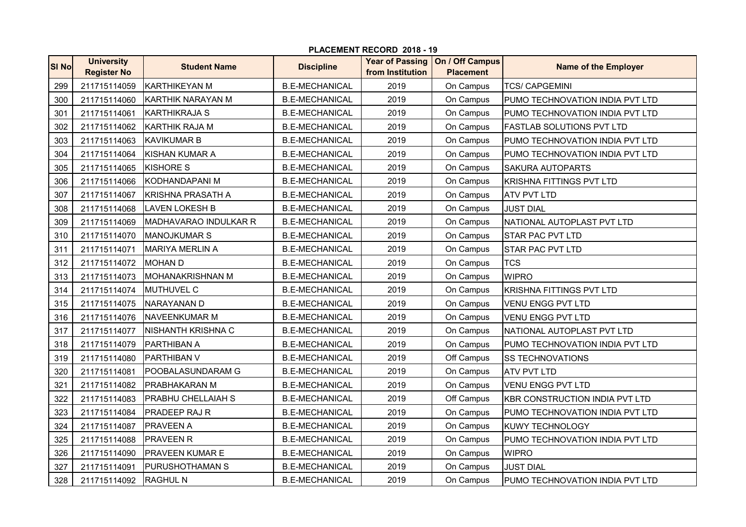|              | PLACEMENT RECORD 2018 - 19              |                           |                       |                                            |                                     |                                       |  |  |  |
|--------------|-----------------------------------------|---------------------------|-----------------------|--------------------------------------------|-------------------------------------|---------------------------------------|--|--|--|
| <b>SI No</b> | <b>University</b><br><b>Register No</b> | <b>Student Name</b>       | <b>Discipline</b>     | <b>Year of Passing</b><br>from Institution | On / Off Campus<br><b>Placement</b> | <b>Name of the Employer</b>           |  |  |  |
| 299          | 211715114059                            | IKARTHIKEYAN M            | <b>B.E-MECHANICAL</b> | 2019                                       | On Campus                           | <b>TCS/ CAPGEMINI</b>                 |  |  |  |
| 300          | 211715114060                            | <b>KARTHIK NARAYAN M</b>  | <b>B.E-MECHANICAL</b> | 2019                                       | On Campus                           | PUMO TECHNOVATION INDIA PVT LTD       |  |  |  |
| 301          | 211715114061                            | <b>KARTHIKRAJA S</b>      | <b>B.E-MECHANICAL</b> | 2019                                       | On Campus                           | PUMO TECHNOVATION INDIA PVT LTD       |  |  |  |
| 302          | 211715114062                            | <b>KARTHIK RAJA M</b>     | <b>B.E-MECHANICAL</b> | 2019                                       | On Campus                           | <b>FASTLAB SOLUTIONS PVT LTD</b>      |  |  |  |
| 303          | 211715114063                            | <b>KAVIKUMAR B</b>        | <b>B.E-MECHANICAL</b> | 2019                                       | On Campus                           | PUMO TECHNOVATION INDIA PVT LTD       |  |  |  |
| 304          | 211715114064                            | KISHAN KUMAR A            | <b>B.E-MECHANICAL</b> | 2019                                       | On Campus                           | PUMO TECHNOVATION INDIA PVT LTD       |  |  |  |
| 305          | 211715114065                            | <b>KISHORE S</b>          | <b>B.E-MECHANICAL</b> | 2019                                       | On Campus                           | <b>SAKURA AUTOPARTS</b>               |  |  |  |
| 306          | 211715114066                            | KODHANDAPANI M            | <b>B.E-MECHANICAL</b> | 2019                                       | On Campus                           | <b>KRISHNA FITTINGS PVT LTD</b>       |  |  |  |
| 307          | 211715114067                            | IKRISHNA PRASATH A        | <b>B.E-MECHANICAL</b> | 2019                                       | On Campus                           | <b>ATV PVT LTD</b>                    |  |  |  |
| 308          | 211715114068                            | <b>LAVEN LOKESH B</b>     | <b>B.E-MECHANICAL</b> | 2019                                       | On Campus                           | <b>JUST DIAL</b>                      |  |  |  |
| 309          | 211715114069                            | MADHAVARAO INDULKAR R     | <b>B.E-MECHANICAL</b> | 2019                                       | On Campus                           | NATIONAL AUTOPLAST PVT LTD            |  |  |  |
| 310          | 211715114070                            | <b>MANOJKUMAR S</b>       | <b>B.E-MECHANICAL</b> | 2019                                       | On Campus                           | <b>STAR PAC PVT LTD</b>               |  |  |  |
| 311          | 211715114071                            | <b>MARIYA MERLIN A</b>    | <b>B.E-MECHANICAL</b> | 2019                                       | On Campus                           | <b>STAR PAC PVT LTD</b>               |  |  |  |
| 312          | 211715114072                            | <b>MOHAN D</b>            | <b>B.E-MECHANICAL</b> | 2019                                       | On Campus                           | <b>TCS</b>                            |  |  |  |
| 313          | 211715114073                            | <b>MOHANAKRISHNAN M</b>   | <b>B.E-MECHANICAL</b> | 2019                                       | On Campus                           | <b>WIPRO</b>                          |  |  |  |
| 314          | 211715114074                            | <b>MUTHUVEL C</b>         | <b>B.E-MECHANICAL</b> | 2019                                       | On Campus                           | <b>KRISHNA FITTINGS PVT LTD</b>       |  |  |  |
| 315          | 211715114075                            | INARAYANAN D              | <b>B.E-MECHANICAL</b> | 2019                                       | On Campus                           | VENU ENGG PVT LTD                     |  |  |  |
| 316          | 211715114076                            | <b>INAVEENKUMAR M</b>     | <b>B.E-MECHANICAL</b> | 2019                                       | On Campus                           | <b>VENU ENGG PVT LTD</b>              |  |  |  |
| 317          | 211715114077                            | <b>NISHANTH KRISHNA C</b> | <b>B.E-MECHANICAL</b> | 2019                                       | On Campus                           | NATIONAL AUTOPLAST PVT LTD            |  |  |  |
| 318          | 211715114079                            | <b>PARTHIBAN A</b>        | <b>B.E-MECHANICAL</b> | 2019                                       | On Campus                           | PUMO TECHNOVATION INDIA PVT LTD       |  |  |  |
| 319          | 211715114080                            | PARTHIBAN V               | <b>B.E-MECHANICAL</b> | 2019                                       | Off Campus                          | <b>SS TECHNOVATIONS</b>               |  |  |  |
| 320          | 211715114081                            | POOBALASUNDARAM G         | <b>B.E-MECHANICAL</b> | 2019                                       | On Campus                           | <b>ATV PVT LTD</b>                    |  |  |  |
| 321          | 211715114082                            | IPRABHAKARAN M            | <b>B.E-MECHANICAL</b> | 2019                                       | On Campus                           | <b>VENU ENGG PVT LTD</b>              |  |  |  |
| 322          | 211715114083                            | <b>PRABHU CHELLAIAH S</b> | <b>B.E-MECHANICAL</b> | 2019                                       | Off Campus                          | <b>KBR CONSTRUCTION INDIA PVT LTD</b> |  |  |  |
| 323          | 211715114084                            | <b>PRADEEP RAJ R</b>      | <b>B.E-MECHANICAL</b> | 2019                                       | On Campus                           | PUMO TECHNOVATION INDIA PVT LTD       |  |  |  |
| 324          | 211715114087                            | <b>PRAVEEN A</b>          | <b>B.E-MECHANICAL</b> | 2019                                       | On Campus                           | <b>KUWY TECHNOLOGY</b>                |  |  |  |
| 325          | 211715114088                            | <b>PRAVEEN R</b>          | <b>B.E-MECHANICAL</b> | 2019                                       | On Campus                           | PUMO TECHNOVATION INDIA PVT LTD       |  |  |  |
| 326          | 211715114090                            | <b>PRAVEEN KUMAR E</b>    | <b>B.E-MECHANICAL</b> | 2019                                       | On Campus                           | <b>WIPRO</b>                          |  |  |  |
| 327          | 211715114091                            | PURUSHOTHAMAN S           | <b>B.E-MECHANICAL</b> | 2019                                       | On Campus                           | <b>JUST DIAL</b>                      |  |  |  |
| 328          | 211715114092                            | <b>RAGHUL N</b>           | <b>B.E-MECHANICAL</b> | 2019                                       | On Campus                           | PUMO TECHNOVATION INDIA PVT LTD       |  |  |  |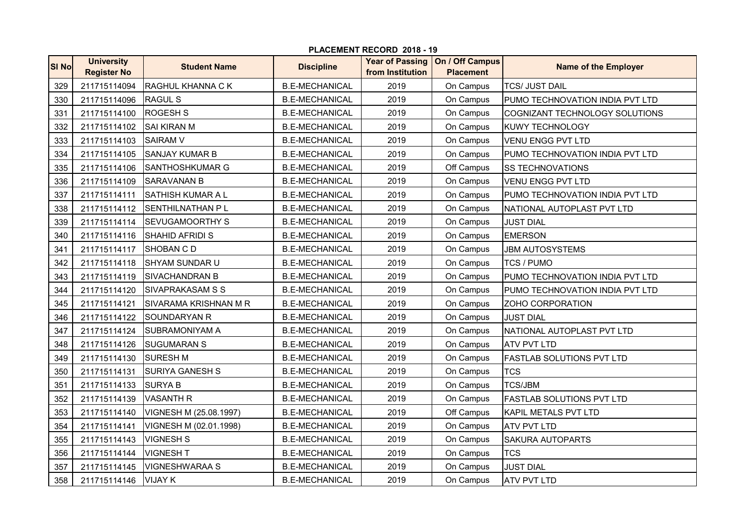|       | PLACEMENT RECORD 2018 - 19              |                         |                       |                                            |                                     |                                  |  |  |
|-------|-----------------------------------------|-------------------------|-----------------------|--------------------------------------------|-------------------------------------|----------------------------------|--|--|
| SI No | <b>University</b><br><b>Register No</b> | <b>Student Name</b>     | <b>Discipline</b>     | <b>Year of Passing</b><br>from Institution | On / Off Campus<br><b>Placement</b> | <b>Name of the Employer</b>      |  |  |
| 329   | 211715114094                            | RAGHUL KHANNA C K       | <b>B.E-MECHANICAL</b> | 2019                                       | On Campus                           | <b>TCS/ JUST DAIL</b>            |  |  |
| 330   | 211715114096                            | <b>RAGUL S</b>          | <b>B.E-MECHANICAL</b> | 2019                                       | On Campus                           | PUMO TECHNOVATION INDIA PVT LTD  |  |  |
| 331   | 211715114100                            | <b>ROGESH S</b>         | <b>B.E-MECHANICAL</b> | 2019                                       | On Campus                           | COGNIZANT TECHNOLOGY SOLUTIONS   |  |  |
| 332   | 211715114102                            | <b>SAI KIRAN M</b>      | <b>B.E-MECHANICAL</b> | 2019                                       | On Campus                           | <b>KUWY TECHNOLOGY</b>           |  |  |
| 333   | 211715114103                            | <b>SAIRAM V</b>         | <b>B.E-MECHANICAL</b> | 2019                                       | On Campus                           | <b>VENU ENGG PVT LTD</b>         |  |  |
| 334   | 211715114105                            | ISANJAY KUMAR B         | <b>B.E-MECHANICAL</b> | 2019                                       | On Campus                           | PUMO TECHNOVATION INDIA PVT LTD  |  |  |
| 335   | 211715114106                            | ISANTHOSHKUMAR G        | <b>B.E-MECHANICAL</b> | 2019                                       | Off Campus                          | <b>SS TECHNOVATIONS</b>          |  |  |
| 336   | 211715114109                            | ISARAVANAN B            | <b>B.E-MECHANICAL</b> | 2019                                       | On Campus                           | <b>VENU ENGG PVT LTD</b>         |  |  |
| 337   | 211715114111                            | ISATHISH KUMAR A L      | <b>B.E-MECHANICAL</b> | 2019                                       | On Campus                           | PUMO TECHNOVATION INDIA PVT LTD  |  |  |
| 338   | 211715114112                            | <b>SENTHILNATHAN PL</b> | <b>B.E-MECHANICAL</b> | 2019                                       | On Campus                           | NATIONAL AUTOPLAST PVT LTD       |  |  |
| 339   | 211715114114                            | <b>SEVUGAMOORTHY S</b>  | <b>B.E-MECHANICAL</b> | 2019                                       | On Campus                           | <b>JUST DIAL</b>                 |  |  |
| 340   | 211715114116                            | <b>SHAHID AFRIDI S</b>  | <b>B.E-MECHANICAL</b> | 2019                                       | On Campus                           | <b>EMERSON</b>                   |  |  |
| 341   | 211715114117                            | <b>SHOBAN CD</b>        | <b>B.E-MECHANICAL</b> | 2019                                       | On Campus                           | <b>JBM AUTOSYSTEMS</b>           |  |  |
| 342   | 211715114118                            | ISHYAM SUNDAR U         | <b>B.E-MECHANICAL</b> | 2019                                       | On Campus                           | <b>TCS / PUMO</b>                |  |  |
| 343   | 211715114119                            | ISIVACHANDRAN B         | <b>B.E-MECHANICAL</b> | 2019                                       | On Campus                           | PUMO TECHNOVATION INDIA PVT LTD  |  |  |
| 344   | 211715114120                            | <b>SIVAPRAKASAM S S</b> | <b>B.E-MECHANICAL</b> | 2019                                       | On Campus                           | PUMO TECHNOVATION INDIA PVT LTD  |  |  |
| 345   | 211715114121                            | ISIVARAMA KRISHNAN M R  | <b>B.E-MECHANICAL</b> | 2019                                       | On Campus                           | ZOHO CORPORATION                 |  |  |
| 346   | 211715114122                            | <b>SOUNDARYAN R</b>     | <b>B.E-MECHANICAL</b> | 2019                                       | On Campus                           | <b>JUST DIAL</b>                 |  |  |
| 347   | 211715114124                            | <b>SUBRAMONIYAM A</b>   | <b>B.E-MECHANICAL</b> | 2019                                       | On Campus                           | NATIONAL AUTOPLAST PVT LTD       |  |  |
| 348   | 211715114126                            | <b>SUGUMARAN S</b>      | <b>B.E-MECHANICAL</b> | 2019                                       | On Campus                           | <b>ATV PVT LTD</b>               |  |  |
| 349   | 211715114130                            | <b>SURESH M</b>         | <b>B.E-MECHANICAL</b> | 2019                                       | On Campus                           | <b>FASTLAB SOLUTIONS PVT LTD</b> |  |  |
| 350   | 211715114131                            | <b>SURIYA GANESH S</b>  | <b>B.E-MECHANICAL</b> | 2019                                       | On Campus                           | <b>TCS</b>                       |  |  |
| 351   | 211715114133                            | <b>SURYA B</b>          | <b>B.E-MECHANICAL</b> | 2019                                       | On Campus                           | <b>TCS/JBM</b>                   |  |  |
| 352   | 211715114139                            | <b>VASANTH R</b>        | <b>B.E-MECHANICAL</b> | 2019                                       | On Campus                           | <b>FASTLAB SOLUTIONS PVT LTD</b> |  |  |
| 353   | 211715114140                            | VIGNESH M (25.08.1997)  | <b>B.E-MECHANICAL</b> | 2019                                       | Off Campus                          | <b>KAPIL METALS PVT LTD</b>      |  |  |
| 354   | 211715114141                            | VIGNESH M (02.01.1998)  | <b>B.E-MECHANICAL</b> | 2019                                       | On Campus                           | <b>ATV PVT LTD</b>               |  |  |
| 355   | 211715114143                            | <b>VIGNESH S</b>        | <b>B.E-MECHANICAL</b> | 2019                                       | On Campus                           | <b>SAKURA AUTOPARTS</b>          |  |  |
| 356   | 211715114144                            | <b>VIGNESH T</b>        | <b>B.E-MECHANICAL</b> | 2019                                       | On Campus                           | <b>TCS</b>                       |  |  |
| 357   | 211715114145                            | <b>VIGNESHWARAA S</b>   | <b>B.E-MECHANICAL</b> | 2019                                       | On Campus                           | <b>JUST DIAL</b>                 |  |  |
| 358   | 211715114146                            | <b>VIJAY K</b>          | <b>B.E-MECHANICAL</b> | 2019                                       | On Campus                           | <b>ATV PVT LTD</b>               |  |  |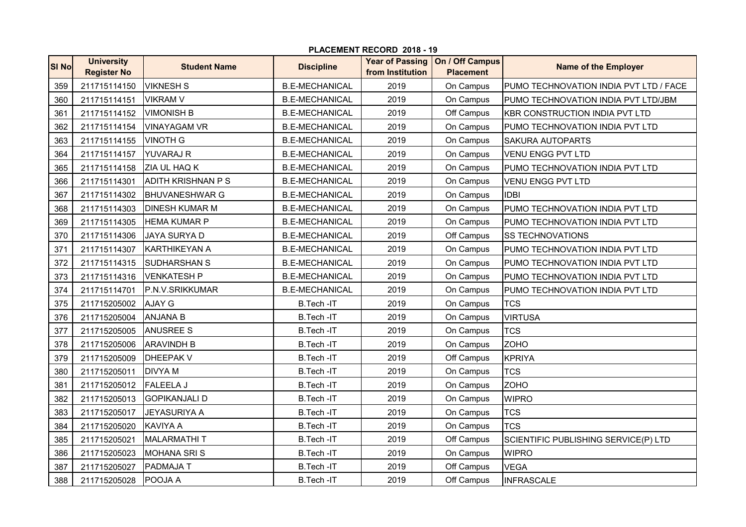| PLACEMENT RECORD 2018 - 19 |                                         |                           |                       |                                            |                                     |                                        |  |  |  |  |
|----------------------------|-----------------------------------------|---------------------------|-----------------------|--------------------------------------------|-------------------------------------|----------------------------------------|--|--|--|--|
| <b>SI No</b>               | <b>University</b><br><b>Register No</b> | <b>Student Name</b>       | <b>Discipline</b>     | <b>Year of Passing</b><br>from Institution | On / Off Campus<br><b>Placement</b> | <b>Name of the Employer</b>            |  |  |  |  |
| 359                        | 211715114150                            | <b>VIKNESH S</b>          | <b>B.E-MECHANICAL</b> | 2019                                       | On Campus                           | PUMO TECHNOVATION INDIA PVT LTD / FACE |  |  |  |  |
| 360                        | 211715114151                            | <b>VIKRAM V</b>           | <b>B.E-MECHANICAL</b> | 2019                                       | On Campus                           | PUMO TECHNOVATION INDIA PVT LTD/JBM    |  |  |  |  |
| 361                        | 211715114152                            | <b>VIMONISH B</b>         | <b>B.E-MECHANICAL</b> | 2019                                       | Off Campus                          | <b>KBR CONSTRUCTION INDIA PVT LTD</b>  |  |  |  |  |
| 362                        | 211715114154                            | <b>VINAYAGAM VR</b>       | <b>B.E-MECHANICAL</b> | 2019                                       | On Campus                           | PUMO TECHNOVATION INDIA PVT LTD        |  |  |  |  |
| 363                        | 211715114155                            | <b>VINOTH G</b>           | <b>B.E-MECHANICAL</b> | 2019                                       | On Campus                           | SAKURA AUTOPARTS                       |  |  |  |  |
| 364                        | 211715114157                            | <b>YUVARAJ R</b>          | <b>B.E-MECHANICAL</b> | 2019                                       | On Campus                           | <b>VENU ENGG PVT LTD</b>               |  |  |  |  |
| 365                        | 211715114158                            | ZIA UL HAQ K              | <b>B.E-MECHANICAL</b> | 2019                                       | On Campus                           | PUMO TECHNOVATION INDIA PVT LTD        |  |  |  |  |
| 366                        | 211715114301                            | <b>ADITH KRISHNAN P S</b> | <b>B.E-MECHANICAL</b> | 2019                                       | On Campus                           | VENU ENGG PVT LTD                      |  |  |  |  |
| 367                        | 211715114302                            | <b>BHUVANESHWAR G</b>     | <b>B.E-MECHANICAL</b> | 2019                                       | On Campus                           | <b>IDBI</b>                            |  |  |  |  |
| 368                        | 211715114303                            | <b>DINESH KUMAR M</b>     | <b>B.E-MECHANICAL</b> | 2019                                       | On Campus                           | PUMO TECHNOVATION INDIA PVT LTD        |  |  |  |  |
| 369                        | 211715114305                            | <b>HEMA KUMAR P</b>       | <b>B.E-MECHANICAL</b> | 2019                                       | On Campus                           | PUMO TECHNOVATION INDIA PVT LTD        |  |  |  |  |
| 370                        | 211715114306                            | <b>JAYA SURYA D</b>       | <b>B.E-MECHANICAL</b> | 2019                                       | Off Campus                          | <b>SS TECHNOVATIONS</b>                |  |  |  |  |
| 371                        | 211715114307                            | <b>KARTHIKEYAN A</b>      | <b>B.E-MECHANICAL</b> | 2019                                       | On Campus                           | PUMO TECHNOVATION INDIA PVT LTD        |  |  |  |  |
| 372                        | 211715114315                            | <b>SUDHARSHAN S</b>       | <b>B.E-MECHANICAL</b> | 2019                                       | On Campus                           | PUMO TECHNOVATION INDIA PVT LTD        |  |  |  |  |
| 373                        | 211715114316                            | <b>VENKATESH P</b>        | <b>B.E-MECHANICAL</b> | 2019                                       | On Campus                           | PUMO TECHNOVATION INDIA PVT LTD        |  |  |  |  |
| 374                        | 211715114701                            | P.N.V.SRIKKUMAR           | <b>B.E-MECHANICAL</b> | 2019                                       | On Campus                           | PUMO TECHNOVATION INDIA PVT LTD        |  |  |  |  |
| 375                        | 211715205002                            | <b>AJAY G</b>             | B.Tech-IT             | 2019                                       | On Campus                           | <b>TCS</b>                             |  |  |  |  |
| 376                        | 211715205004                            | <b>ANJANA B</b>           | B.Tech-IT             | 2019                                       | On Campus                           | <b>VIRTUSA</b>                         |  |  |  |  |
| 377                        | 211715205005                            | <b>ANUSREE S</b>          | B.Tech-IT             | 2019                                       | On Campus                           | <b>TCS</b>                             |  |  |  |  |
| 378                        | 211715205006                            | <b>ARAVINDH B</b>         | B.Tech-IT             | 2019                                       | On Campus                           | <b>ZOHO</b>                            |  |  |  |  |
| 379                        | 211715205009                            | <b>DHEEPAK V</b>          | <b>B.Tech-IT</b>      | 2019                                       | Off Campus                          | <b>KPRIYA</b>                          |  |  |  |  |
| 380                        | 211715205011                            | <b>DIVYAM</b>             | B.Tech-IT             | 2019                                       | On Campus                           | <b>TCS</b>                             |  |  |  |  |
| 381                        | 211715205012                            | <b>FALEELA J</b>          | B.Tech-IT             | 2019                                       | On Campus                           | <b>ZOHO</b>                            |  |  |  |  |
| 382                        | 211715205013                            | <b>GOPIKANJALI D</b>      | B.Tech-IT             | 2019                                       | On Campus                           | <b>WIPRO</b>                           |  |  |  |  |
| 383                        | 211715205017                            | <b>JEYASURIYA A</b>       | B.Tech-IT             | 2019                                       | On Campus                           | <b>TCS</b>                             |  |  |  |  |
| 384                        | 211715205020                            | <b>KAVIYA A</b>           | <b>B.Tech-IT</b>      | 2019                                       | On Campus                           | <b>TCS</b>                             |  |  |  |  |
| 385                        | 211715205021                            | <b>MALARMATHIT</b>        | B.Tech-IT             | 2019                                       | Off Campus                          | SCIENTIFIC PUBLISHING SERVICE(P) LTD   |  |  |  |  |
| 386                        | 211715205023                            | <b>MOHANA SRIS</b>        | B.Tech-IT             | 2019                                       | On Campus                           | <b>WIPRO</b>                           |  |  |  |  |
| 387                        | 211715205027                            | PADMAJA T                 | B.Tech-IT             | 2019                                       | Off Campus                          | <b>VEGA</b>                            |  |  |  |  |
| 388                        | 211715205028                            | POOJA A                   | B.Tech-IT             | 2019                                       | Off Campus                          | <b>INFRASCALE</b>                      |  |  |  |  |